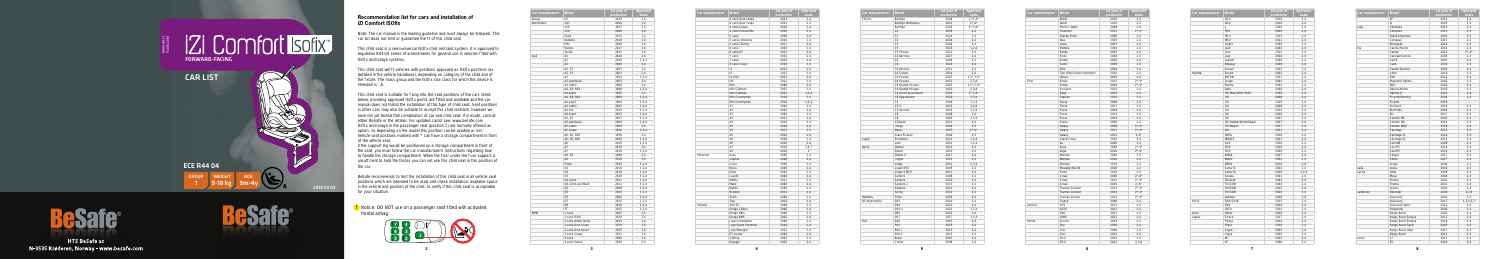**5**

| Car manufacturer | <b>Model</b>          | 1st year of | <b>Approved</b> |
|------------------|-----------------------|-------------|-----------------|
|                  |                       | production  | seats           |
| Aiways           | U <sub>5</sub>        | 2020        | 2,4             |
| Alfa Romeo       | 147                   | 2000        | 2,4             |
|                  | 156                   | 1997        | 2,4             |
|                  | 159                   | 2006        | 2,4             |
|                  | Giulia                | 2015        | 2,4             |
|                  | Giulietta             | 2010        | 2,4             |
|                  | Mito                  | 2008        | 2,4             |
|                  | Stelvio               | 2017        | 2,4             |
|                  | Tonale                | 2022        | 2,4             |
| Audi             | A1                    | 2010        | 2,4             |
|                  | A1                    | 2018        | 1, 2, 4         |
|                  | A2                    | 2000        | 2,4             |
|                  | A3, S3                | 1997        | 2,4             |
|                  | A3, S3                | 2003        | 2,4             |
|                  | A <sub>3</sub>        | 2020        | 1, 2, 4         |
|                  | A3 sportback          | 2003        | 2,4             |
|                  |                       |             |                 |
|                  | A3 cabrio             | 2008        | 2,4             |
|                  | A4, S4, RS4           | 1998        | 1, 2, 4         |
|                  | A4 avant              | 1996        | 2,4             |
|                  | A4, S4, RS4           | 2000        | 1, 2, 4         |
|                  | A4 avant              | 2000        | 1, 2, 4         |
|                  | A4 cabrio             | 2002        | 1, 2, 4         |
|                  | A4 imo                | 2015        | 1, 2, 4         |
|                  | A4 avant              | 2015        | 1, 2, 4         |
|                  | A5, S5                | 2007        | 1, 2, 4         |
|                  | A5 sportback          | 2009        | 1, 2, 4         |
|                  | A5 cabrio             | 2009        | 2,4             |
|                  | A5 coupe              | 2016        | 1, 2, 4         |
|                  | A6, S6, RS6           | 1998        | 2,4             |
|                  | A6, S6, RS6           | 2004        | 1, 2, 4         |
|                  | A6                    | 2018        | 1, 2, 4         |
|                  | A7                    | 2010        | 2,4             |
|                  | A7                    | 2018        | 1, 2, 4         |
|                  | A8, S8                | 1998        | 2,4             |
|                  | A8                    | 2018        | 2,4             |
|                  | E-tron                | 2019        | 1, 2, 4         |
|                  | Q2                    | 2016        | 1, 2, 4         |
|                  |                       |             |                 |
|                  | Q3                    | 2010        | 1, 2, 4         |
|                  | Q3                    | 2018        | 1, 2, 4         |
|                  | Q4 e-tron             | 2021        | 1, 2, 4         |
|                  | Q4 e-tron sportback   | 2021        | 1, 2, 4         |
|                  | Q5                    | 2008        | 1, 2, 4         |
|                  | Q5                    | 2016        | 1, 2, 4         |
|                  | Q7                    | 2006        | 1, 2, 4         |
|                  | Q7                    | 2015        | 1, 2, 4         |
|                  | Q8                    | 2019        | 1, 2, 4         |
|                  | TT                    | 2015        | 1, 2, 4         |
| <b>BMW</b>       | 1 serie               | 2005        | 2,4             |
|                  | 1 serie (F40)         | 2019        | 2,4             |
|                  | 2 serie Active tourer | 2014        | 2,4             |
|                  | 2 serie Gran coupe    | 2019        | 2,4             |
|                  | 2 serie Gran tourer   | 2015        | 2,4             |
|                  | 2 serie Coupe         | 2021        | 2,4             |
|                  |                       |             |                 |
|                  | 3 serie               | 1998        | 2,4             |

| Car manufacturer | <b>Model</b>                             | 1st year of        | Approved     |
|------------------|------------------------------------------|--------------------|--------------|
|                  |                                          | production<br>2014 | seats<br>2,4 |
|                  | 4 serie Gran coupe<br>4 serie Gran coupe | 2021               | 2.4          |
|                  |                                          | 2020               | 2,4          |
|                  | 4 serie Coupe                            |                    |              |
|                  | 4 serie Convertible                      | 2020               | 2,4          |
|                  | 5 serie                                  | 2000               | 2,4          |
|                  | 5 serie Limousine                        | 2016               | 2,4          |
|                  | 5 serie Touring                          | 2017               | 2,4          |
|                  | 6 serie                                  | 2003               | 2,4          |
|                  | 6 serie GT                               | 2017               | 2.4          |
|                  | 7 serie                                  | 2001               | 2,4          |
|                  | 7 serie                                  | 2015               | 2,4          |
|                  | 8 serie Coupe                            | 2018               | 2,4          |
|                  | i3                                       | 2013               | 2.4          |
|                  | 4                                        | 2021               | 2,4          |
|                  | iX (i20)                                 | 2021               | 2,4          |
|                  | iX3                                      | 2021               | 2,4          |
|                  | Mini                                     | 2006               | 2,4          |
|                  | Mini Clubman                             | 2007               | 2.4          |
|                  | Mini Clubman                             | 2015               | 1, 2, 4      |
|                  | Mini Countryman                          | 2010               | 2,4          |
|                  | Mini Countryman                          | 2016               | 1, 2, 4      |
|                  | X1                                       | 2004               | 2,4          |
|                  | X1                                       | 2015               | 2,4          |
|                  | X <sub>3</sub>                           | 2004               | 2,4          |
|                  | X <sub>3</sub>                           | 2017               | 2,4          |
|                  | X4                                       | 2018               | 2,4          |
|                  | <b>X5</b>                                | 2004               | 2,4          |
|                  | <b>X5</b>                                | 2013               | 2,4          |
|                  | <b>X5</b>                                | 2018               | 2,4          |
|                  | X6                                       | 2008               | 2,4          |
|                  | X6                                       | 2019               | 2,4          |
|                  | <b>X7</b>                                | 2018               | 2,4,7        |
|                  | Z <sub>4</sub>                           | 2018               | $\mathbf{1}$ |
| Chevrolet        | Aveo                                     | 2006               | 2,4          |
|                  | Captiva                                  | 2006               | 2.4          |
|                  | Cruze                                    | 2009               | 2.4          |
|                  | Epica                                    | 2006               | 2,4          |
|                  | Kalos                                    | 2002               | 2,4          |
|                  | Lacetti                                  | 2004               | 2,4          |
|                  | Malibu                                   | 2011               | 2,4          |
|                  | Matiz                                    | 2005               | 2.4          |
|                  | Nubira                                   | 2009               | 2,4          |
|                  | Orlando                                  | 2011               | 2,4          |
|                  | Spark                                    | 2009               | 2,4          |
|                  | Trax                                     | 2013               | 2,4          |
| Chrysler         | 300 CC                                   | 2008               | 2,4          |
|                  | Dodge Caliber                            | 2006               | 2,4          |
|                  | Dodge Nitro                              | 2006               | 2,4          |
|                  | Dodge RAM                                | 2002               | 2,4          |
|                  | Jeep Commander                           | 2006               | 2,4          |
|                  |                                          | 2010               |              |
|                  | Jeep Grand Cherokee                      |                    | 2,4          |
|                  | Jeep Wrangler                            | 2011               | 2,4          |
|                  | PT cruiser                               | 2000               | 2,4          |
|                  | Sebring                                  | 2007               | 2,4          |
|                  | Voyager                                  | 2001               | 2,4          |

Note: The car manual is the leading guideline and must always be followed. This car list does not limit or quarantee the  $\frac{1}{2}$  to of this child seat.

This child seat is a semi-universal ISO x child restraint system. It is approved to regulation R44-04 series of amendments for general use in vehicles tted with ISO x anchorage systems.

This child seat will t vehicles with positions approved as ISO  $x$  positions (as detailed in the vehicle handbook), depending on category of the child and of the xture. The mass group and the ISO  $x$  size class for which this device is intended is : A.

This child seat is suitable for xing into the seat positions of the cars listed below, providing approved ISO x points are tted and available and the car manual does not forbid the installation of this type of child seat. Seat positions in other cars may also be suitable to accept this child restraint, however we have not yet tested that combination of car and child seat. If in doubt, consult either BeSafe or the retailer. For updated carlist see: www.besafe.com ISO x anchorage in the passenger seat (position 1) are normally offered as option, so depending on the model this position can be availble or not. Vehicle seat positions marked with \* can have a storage compartment in front of the vehicle seat.

**!** Notice: DO NOT use on a passenger seat tted with activated frontal airbag.

| Car manufacturer      | <b>Model</b>          | 1st year of<br>production | <b>Approved</b><br>seats          |
|-----------------------|-----------------------|---------------------------|-----------------------------------|
| Citroën               | Berlingo              | 2008                      | $1, 2^*, 4^*$                     |
|                       | Berlingo Multispace   | 2012                      | $2^{\star}$ , 4 $^{\star}$        |
|                       | Berlingo              | 2018                      | $2^{\star}$ , 3, 4 $^{\star}$     |
|                       | C <sub>1</sub>        | 2005                      | 2,4                               |
|                       | C <sub>1</sub>        | 2014                      | 2,4                               |
|                       | C <sub>2</sub>        | 2004                      | 2,4                               |
|                       | C <sub>3</sub>        | 2004                      | 2,4                               |
|                       | C <sub>3</sub>        | 2016                      | 1, 2, 4                           |
|                       | C3 Picasso            | 2013                      | 2,4                               |
|                       | C3 Aircross           | 2017                      | 2,4                               |
|                       | C <sub>4</sub>        | 2004                      | 2,4                               |
|                       | C <sub>4</sub>        | 2020                      | 2,4                               |
|                       | C4 Aircross           | 2012                      | 2,4                               |
|                       | C4 Cactus             | 2014                      | 2,4                               |
|                       | C4 Picasso            | 2007                      | $1,2^{\star},3,4^{\star}$         |
|                       | C4 Picasso            | 2013                      | 2,3,4                             |
|                       | C4 Grande Picasso     | 2007                      | $1,2^{\star},3,4^{\star}$         |
|                       | C4 Grande Picasso     | 2013                      | 2, 3, 4                           |
|                       | C4 Grand Spacetourer  | 2020                      | $2*, 3, 4*$                       |
|                       | C4 Spacetourer        | 2020                      | 2, 3, 4                           |
|                       | C <sub>5</sub>        | 2000                      | 1,2,4                             |
|                       | C5X                   | 2022                      | 1, 2, 4                           |
|                       | C5 Aircross           | 2018                      | 1, 2, 4                           |
|                       | C <sub>6</sub>        | 2008                      | 2,4                               |
|                       | C <sub>8</sub>        | 2003                      | 2,3,4                             |
|                       |                       | 2012                      | 2,4                               |
|                       | C-Elysée              | 2004                      |                                   |
|                       | Jumpy                 | 2007                      | 2,4<br>$2^{\star}$ , 4 $^{\star}$ |
|                       | Nemo<br>Xsara Picasso |                           | 2.4                               |
|                       | Formentor             | 2000<br>2021              |                                   |
| Cupra                 |                       |                           | 1, 2, 4                           |
|                       | Leon<br>Dokker        | 2021                      | 1, 2, 4                           |
| Dacia                 |                       | 2012                      | 2,4                               |
|                       | Duster                | 2010                      | 2,4                               |
|                       | Duster 2              | 2017                      | 2,4                               |
|                       | Jogger                | 2021                      | 2,4                               |
|                       | Lodgy                 | 2012<br>2005              | 2.3.4                             |
|                       | Logan MCV             |                           | 2,4                               |
|                       | Logan 2 MCV           | 2013                      | 2,4                               |
|                       | Sandero               | 2008                      | 2,4                               |
|                       | Sandero               | 2020                      | 2,4                               |
|                       | Sandero <sub>2</sub>  | 2013                      | 2,4                               |
|                       | Sandero               | 2021                      | 2.4                               |
|                       | Spring                | 2021                      | 2,4                               |
| Daihatsu              | Sirion                | 2005                      | 2,4                               |
| <b>DS Automobiles</b> | DS3                   | 2010                      | 2,4                               |
|                       | DS4                   | 2011                      | 2,4                               |
|                       | DS4 II                | 2021                      | 1,2,4                             |
|                       | DS <sub>5</sub>       | 2012                      | 2.4                               |
|                       | DS7                   | 2017                      | 1,2,4                             |
| Fiat                  | 500                   | 2007                      | 2,4                               |
|                       | 500                   | 2016                      | 2,4                               |
|                       | 500L                  | 2013                      | 2,4                               |
|                       | 500 X                 | 2015                      | 2,4                               |
|                       | Bravo                 | 2007                      | 2,4                               |
|                       | Croma                 | 2008                      | 2,4                               |

## **Recommendation list for cars and installation of iZi Comfort ISOfix**





**HTS BeSafe as** N-3535 Krøderen, Norway - www.besafe.com



If the support leg would be positioned on a storage compartment in front of the seat, you must follow the car manufacturer's instructions regarding how to handle the storage compartment. When the oor under the oor support is unsuf cient to hold the forces you can not use this child seat in this position of the car.

BeSafe recommends to test the installation of this child seat in all vehicle seat positions which are intended to be used and check installation, available space in the vehicle and position of the child, to verify if this child seat is acceptable for your situation.



| Car manufacturer | <b>Model</b>              | <b>1st year of</b> | Approv                     |
|------------------|---------------------------|--------------------|----------------------------|
|                  |                           | production         | seats                      |
|                  | Doblò                     | 2010               | 2,4                        |
|                  | Doblò                     | 2016               | 2,4                        |
|                  | Fiorno / Qubo             | 2008               | 2,4                        |
|                  | Freemont                  | 2011               | $2^{\star}, 4^{\star}$     |
|                  | Grande Punto              | 2006               | 2,4                        |
|                  | Idea                      | 2003               | 2,4                        |
|                  | Linea                     | 2007               | 2,4                        |
|                  | Multipla                  | 2004               | 2,4                        |
|                  | Panda                     | 2007               | 2.4                        |
|                  | Punto                     | 2008               | 2,4                        |
|                  | Scudo                     | 2007               | 2,4                        |
|                  | Sedici                    | 2009               | 2,4                        |
|                  | Stilo                     | 2004               | 2,4                        |
|                  | Tipo (SW/Sedan/Hatchback) | 2016               | 2,4                        |
|                  | Ulysse                    | 2003               | 2,4                        |
| Ford             | <b>B-max</b>              | 2012               | $2^{\star}$ , 4 $^{\star}$ |
|                  | C-max                     | 2003               | $2^{\star}$ , 4 $^{\star}$ |
|                  | Ecosport                  | 2014               | 2,4                        |
|                  | Edge                      | 2015               | 2,4                        |
|                  | Explorer                  | 2019               | 2,4                        |
|                  | Fiesta                    | 2008               | 2,4                        |
|                  | Fiesta                    | 2017               | 2,4                        |
|                  | Focus                     | 2004               | 2,4                        |
|                  | Focus                     | 2014               | 2.4                        |
|                  | Focus                     | 2018               |                            |
|                  |                           |                    | 2,4                        |
|                  | Fusion                    | 2008               | 2,4                        |
|                  | Galaxy                    | 2006               | $2^{\star}$ , 4 $^{\star}$ |
|                  | Galaxy                    | 2011               | $2^{\star}$ , 4 $^{\star}$ |
|                  | Galaxy                    | 2015               | $2.4*$                     |
|                  | Grand C-max               | 2010               | 2,4                        |
|                  | Ka                        | 2009               | 2,4                        |
|                  | Kuqa                      | 2008               | $2^{\star}$ , 4 $^{\star}$ |
|                  | Kuqa                      | 2019               | $2^{\star}$ , 4 $^{\star}$ |
|                  | Mondeo                    | 2000               | 2,4                        |
|                  | Mondeo                    | 2014               | 2,4                        |
|                  | Mondeo                    | 2019               | 2,4                        |
|                  | Mustang Mach-E            | 2020               | 2.4                        |
|                  | Puma                      | 2019               | 2,4                        |
|                  | S-max                     | 2006               | $2^{\star}$ , 4 $^{\star}$ |
|                  | S-max                     | 2011               | $2^{\star}$ , 4 $^{\star}$ |
|                  | S-max                     | 2015               | $2, 4*$                    |
|                  | Tourneo Connect           | 2013               | $2^{\star}$ , 4 $^{\star}$ |
|                  | <b>Tourneo Connect</b>    | 2018               | $2^{\star}$ , 4 $^{\star}$ |
|                  | Tourneo Courier           | 2014               | $2^{\star}$ , 4 $^{\star}$ |
|                  | Transit                   | 2006               | 2,4                        |
| Genesis          | G70                       | 2021               | 2,4                        |
|                  | GV70                      | 2021               | 2,4                        |
|                  | G80                       | 2021               | 2,4                        |
|                  | <b>GV80</b>               | 2021               | 2,4                        |
| Honda            | Accord                    | 2003               | 2,4                        |
|                  | City                      | 2009               | 2,4                        |
|                  | Civic                     | 2006               | 2,4                        |
|                  |                           |                    |                            |
|                  |                           |                    |                            |
|                  | Civic<br>CR-V             | 2022<br>2002       | 2,4<br>2,4                 |

**Contract Contract Contract** 

| <b>Model</b>              | 1st year of<br>production | <b>Approved</b><br>seats   |
|---------------------------|---------------------------|----------------------------|
| Doblò                     | 2010                      | 2,4                        |
| Doblò                     | 2016                      | 2,4                        |
| Fiorno / Qubo             | 2008                      | 2,4                        |
| Freemont                  | 2011                      | $2^{\star}$ , 4 $^{\star}$ |
| Grande Punto              | 2006                      | 2,4                        |
| Idea                      | 2003                      | 2,4                        |
| Linea                     | 2007                      | 2,4                        |
| Multipla                  | 2004                      | 2,4                        |
| Panda                     | 2007                      | 2,4                        |
| Punto                     | 2008                      | 2,4                        |
| Scudo                     | 2007                      | 2,4                        |
| Sedici                    | 2009                      | 2,4                        |
| Stilo                     | 2004                      | 2,4                        |
| Tipo (SW/Sedan/Hatchback) | 2016                      | 2,4                        |
| Ulysse                    | 2003                      | 2,4                        |
| B-max                     | 2012                      | $2^{\star}$ ,4 $^{\star}$  |
| C-max                     | 2003                      | $2^{\star}$ , 4 $^{\star}$ |
| Ecosport                  | 2014                      | 2,4                        |
| Edge                      | 2015                      | 2,4                        |
| Explorer                  | 2019                      | 2,4                        |
| Fiesta                    | 2008                      | 2,4                        |
| Fiesta                    | 2017                      | 2,4                        |
| Focus                     | 2004                      | 2,4                        |
| Focus                     | 2014                      | 2,4                        |
| Focus                     | 2018                      | 2,4                        |
| Fusion                    | 2008                      | 2,4                        |
|                           |                           | $2^{\star}$ , 4 $^{\star}$ |
| Galaxy                    | 2006                      | $2^{\star}$ , 4 $^{\star}$ |
| Galaxy                    | 2011                      |                            |
| Galaxy                    | 2015                      | $2.4*$                     |
| Grand C-max               | 2010                      | 2,4                        |
| Ka                        | 2009                      | 2,4                        |
| Kuqa                      | 2008                      | $2^{\star}$ , 4 $^{\star}$ |
| Kuga                      | 2019                      | $2^{\star}$ , 4 $^{\star}$ |
| Mondeo                    | 2000                      | 2,4                        |
| Mondeo                    | 2014                      | 2,4                        |
| Mondeo                    | 2019                      | 2,4                        |
| Mustang Mach-E            | 2020                      | 2,4                        |
| Puma                      | 2019                      | 2,4                        |
| S-max                     | 2006                      | $2^{\star}$ , 4 $^{\star}$ |
| S-max                     | 2011                      | $2^{\star}$ , 4 $^{\star}$ |
| S-max                     | 2015                      | $2, 4*$                    |
| Tourneo Connect           | 2013                      | $2^{\star}$ , 4 $^{\star}$ |
| <b>Tourneo Connect</b>    | 2018                      | $2^*$ .4*                  |
| Tourneo Courier           | 2014                      | $2^{\star}$ , 4 $^{\star}$ |
| Transit                   | 2006                      | 2,4                        |
| G70                       | 2021                      | 2,4                        |
| GV70                      | 2021                      | 2,4                        |
| G80                       | 2021                      | 2,4                        |
| GV80                      | 2021                      | 2,4                        |
| Accord                    | 2003                      | 2,4                        |
| City                      | 2009                      | 2,4                        |
| Civic                     | 2006                      | 2,4                        |
| Civic                     | 2022                      | 2,4                        |
| CR-V                      | 2002                      | 2,4                        |
| CR-V                      | 2012                      | 2,3,4                      |

| Car manufacturer | <b>Model</b>           | 1st year of<br>production | Approved<br>seats |
|------------------|------------------------|---------------------------|-------------------|
|                  | CR-V                   | 2019                      | 2,4               |
|                  | CR-Z                   | 2010                      | 2,4               |
|                  | e                      | 2020                      | 2,4               |
|                  | FR-V                   | 2005                      | 2,4               |
|                  | HR-V                   | 2015                      | 2,4               |
|                  | HR-V                   | 2021                      | 2,4               |
|                  | Insight                | 2009                      | 2,4               |
|                  | Jazz                   | 2002                      | 2,4               |
|                  | Jazz                   | 2015                      | 2,4               |
|                  | Jazz                   | 2020                      | 2,4               |
|                  |                        |                           |                   |
|                  | Legend                 | 2006                      | 2,4               |
|                  | Odyssey                | 2006                      | 2,4               |
|                  | Stream                 | 2001                      | 2,4               |
| Hyundai          | Accent                 | 2002                      | 2,4               |
|                  | BAYON                  | 2021                      | 2,4               |
|                  | Coupe                  | 2001                      | 2,4               |
|                  | Elantra                | 2002                      | 2,4               |
|                  | Getz                   | 2002                      | 2,4               |
|                  | H1/iMax/i800/H300      | 2008                      | 2,4               |
|                  | i10                    | 2008                      | 2,4               |
|                  | i10                    | 2019                      | 2,4               |
|                  | i20                    | 2009                      | 2,4               |
|                  | i20                    | 2014                      | 2,4               |
|                  | i20                    | 2020                      | 2,4               |
|                  | i30                    | 2007                      | 2,4               |
|                  | i30 Fastback/Hatchback | 2017                      | 2,4               |
|                  | i30 Wagon              | 2017                      | 2,4               |
|                  | i40                    | 2011                      | 2,4               |
|                  | <b>IONIQ</b>           | 2016                      | 2,4               |
|                  | IONIQ 5                | 2021                      | 2,4               |
|                  | iX20                   | 2010                      | 2,4               |
|                  | iX35                   | 2010                      | 2,4               |
|                  | iX55                   | 2009                      | 2,4               |
|                  | KONA                   | 2017                      | 2,4               |
|                  | Matrix                 | 2002                      | 2,4               |
|                  | <b>NEXO</b>            | 2018                      | 2,4               |
|                  | Santa Fe               | 2002                      | 2,4               |
|                  | Santa Fe               | 2018                      | 1, 2, 4           |
|                  | Sonata                 | 2001                      | 2,4               |
|                  | Terracan               | 2002                      | 2,4               |
|                  | <b>TUCSON</b>          | 2004                      | 2,4               |
|                  | <b>TUCSON</b>          | 2015                      | 2,4               |
|                  | <b>TUCSON</b>          | 2020                      | 2,4               |
|                  | Veloster               | 2004                      | 2,4               |
| In niti          | Q30/QX30               | 2015                      | 2,4               |
|                  |                        |                           |                   |
|                  | Q50<br>QX70            | 2014                      | 2,4               |
|                  |                        | 2014                      | 2,4               |
| <b>Isuzu</b>     | D-Max                  | 2020                      | 2,4               |
| Jaguar           | E-Pace                 | 2017                      | 2,4               |
|                  | F-Pace                 | 2016                      | 2,4               |
|                  | I-Pace                 | 2018                      | 2,4               |
|                  | S-type                 | 2002                      | 2,4               |
|                  | X-type                 | 2005                      | 2,4               |
|                  | XE                     | 2015                      | 2,4               |
|                  | XF                     | 2008                      | 2,4               |

|                  | <b>Model</b>          | 1st year of | <b>Approved</b>            |
|------------------|-----------------------|-------------|----------------------------|
| Car manufacturer |                       | production  | seats                      |
|                  | XF                    | 2015        | 2,4                        |
|                  | XJ                    | 2003        | 2,4                        |
| Jeep             | Cherokee              | 2013        | 2,4                        |
|                  | Cherokee              | 2019        | 2,4                        |
|                  | <b>Grand Cherokee</b> | 2022        | 2.4                        |
|                  | Compass               | 2017        | 2,4                        |
|                  | Renegade              | 2014        | 2,4                        |
| Kia              | Carens/Rondo          | 2002        | 2,4                        |
|                  | Carens                | 2013        | $2^{\star}$ , 4 $^{\star}$ |
|                  | Carnival/Sedona       | 2006        | 2,4                        |
|                  | Cee'd                 | 2007        | 2,4                        |
|                  | Ceed                  | 2018        | 2,4                        |
|                  | Cerato/Spectra        | 2004        | 2.4                        |
|                  | e-Niro                | 2019        | 2,4                        |
|                  | EV <sub>6</sub>       | 2021        | 2,4                        |
|                  |                       |             |                            |
|                  | Magentis/Optima       | 2002        | 2,4                        |
|                  | Niro                  | 2016        | 2,4                        |
|                  | Opirus/Amanti         | 2003        | 2,4                        |
|                  | Optima JF             | 2015        | 2,4                        |
|                  | Picanto/Morning       | 2004        | 2,4                        |
|                  | Picanto               | 2018        | $\overline{\phantom{a}}$   |
|                  | ProCeed               | 2018        | 2,4                        |
|                  | Rio/Pride             | 2002        | 2,4                        |
|                  | Rio                   | 2017        | 2,4                        |
|                  | Sorento XM            | 2002        | 2,4                        |
|                  | Sorento UM            | 2014        | 2,4                        |
|                  | Sorento MQ4           | 2020        | 2,4                        |
|                  | Sportage              | 2021        | 2,4                        |
|                  | Sportage SL           | 2010        | 2,4                        |
|                  | Sportage QL           | 2015        | 2,4                        |
|                  | Soul AM               | 2009        | 2,4                        |
|                  | Soul PS               | 2014        | 2,4                        |
|                  | Soul EV               | 2014        | 2.4                        |
|                  | Stinger               | 2017        | 2.4                        |
|                  | Stonic                | 2017        | 2,4                        |
|                  | Venga                 | 2009        | 2,4                        |
| Lada             | Vesta                 | 2016        | 2,4                        |
| Lancia           | Delta                 | 2008        | 2,4                        |
|                  | Musa                  | 2004        | 2,4                        |
|                  | Phedra                | 2002        | 2,4                        |
|                  | Thema                 | 2011        | 2,4                        |
|                  | Ypsilon               | 2003        | 2,4                        |
| Landrover        | Defender              | 2020        | 1, 2, 4                    |
|                  | Discovery             | 2001        | 2,4                        |
|                  | Discovery             | 2017        | 1, 2, 4, 5, 7              |
|                  | Discovery Sport       | 2014        | 2,4                        |
|                  | Freelander            | 2006        | 2,4                        |
|                  | Range Rover           | 2002        | 2,4                        |
|                  | Range Rover Evoque    | 2011        | 2,4                        |
|                  | Range Rover Evoque    | 2019        | 2,4                        |
|                  |                       |             |                            |
|                  | Range Rover Sport     | 2005        | 2,4                        |
|                  | Range Rover Velar     | 2017        | 2,4                        |
|                  | Range Rover           | 2022        | 2,4                        |
| Lexus            | СT                    | 2011        | 2,4                        |
|                  | ES                    | 2018        | 2,4                        |